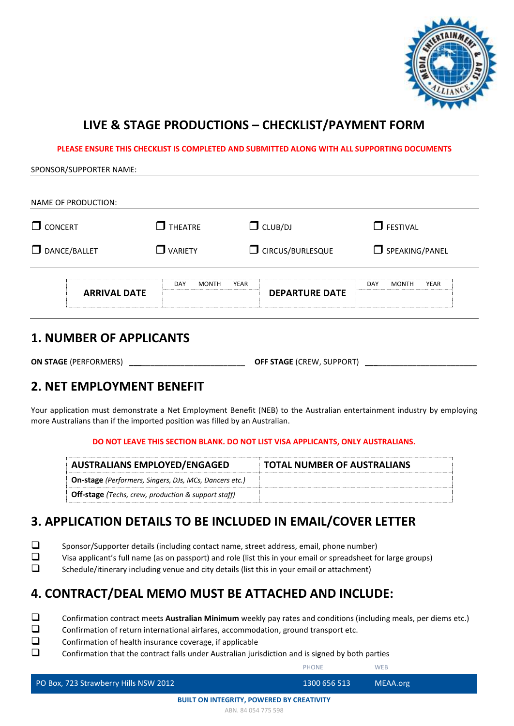

# **LIVE & STAGE PRODUCTIONS – CHECKLIST/PAYMENT FORM**

**PLEASE ENSURE THIS CHECKLIST IS COMPLETED AND SUBMITTED ALONG WITH ALL SUPPORTING DOCUMENTS**

#### SPONSOR/SUPPORTER NAME:

| NAME OF PRODUCTION: |                                     |                               |                                    |  |
|---------------------|-------------------------------------|-------------------------------|------------------------------------|--|
| $\Box$ CONCERT      | <b>THEATRE</b><br>П                 | $\Box$ CLUB/DJ                | $\Box$ FESTIVAL                    |  |
| $\Box$ DANCE/BALLET | VARIETY<br>$\overline{\phantom{a}}$ | C CIRCUS/BURLESQUE            | $\Box$ SPEAKING/PANEL              |  |
| <b>ARRIVAL DATE</b> | DAY<br><b>MONTH</b>                 | YEAR<br><b>DEPARTURE DATE</b> | <b>YEAR</b><br>DAY<br><b>MONTH</b> |  |

#### **1. NUMBER OF APPLICANTS**

**ON STAGE** (PERFORMERS) **\_\_\_**\_\_\_\_\_\_\_\_\_\_\_\_\_\_\_\_\_\_\_\_\_\_\_\_ **OFF STAGE** (CREW, SUPPORT) **\_\_\_**\_\_\_\_\_\_\_\_\_\_\_\_\_\_\_\_\_\_\_\_\_\_\_

### **2. NET EMPLOYMENT BENEFIT**

Your application must demonstrate a Net Employment Benefit (NEB) to the Australian entertainment industry by employing more Australians than if the imported position was filled by an Australian.

#### **DO NOT LEAVE THIS SECTION BLANK. DO NOT LIST VISA APPLICANTS, ONLY AUSTRALIANS.**

| <b>AUSTRALIANS EMPLOYED/ENGAGED</b>                           | <b>TOTAL NUMBER OF AUSTRALIANS</b> |
|---------------------------------------------------------------|------------------------------------|
| <b>On-stage</b> (Performers, Singers, DJs, MCs, Dancers etc.) |                                    |
| <b>Off-stage</b> (Techs, crew, production & support staff)    |                                    |

### **3. APPLICATION DETAILS TO BE INCLUDED IN EMAIL/COVER LETTER**

- ❑ Sponsor/Supporter details (including contact name, street address, email, phone number)
- ❑ Visa applicant's full name (as on passport) and role (list this in your email or spreadsheet for large groups)
- ❑ Schedule/itinerary including venue and city details (list this in your email or attachment)

### **4. CONTRACT/DEAL MEMO MUST BE ATTACHED AND INCLUDE:**

- ❑ Confirmation contract meets **Australian Minimum** weekly pay rates and conditions (including meals, per diems etc.)
- ❑ Confirmation of return international airfares, accommodation, ground transport etc.
- ❑ Confirmation of health insurance coverage, if applicable
- ❑ Confirmation that the contract falls under Australian jurisdiction and is signed by both parties

PHONE WEB

| PO Box, 723 Strawberry Hills NSW 2012 | 1300 656 513 | MEAA.org |  |
|---------------------------------------|--------------|----------|--|